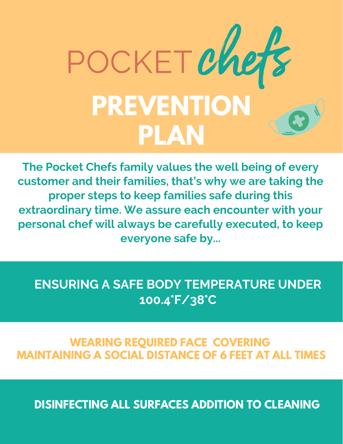

**The Pocket Chefs family values the well being of every customer and their families, that's why we are taking the proper steps to keep families safe during this extraordinary time. We assure each encounter with your personal chef will always be carefully executed, to keep everyone safe by...**

## **ENSURING A SAFE BODY TEMPERATURE UNDER 100.4°F/38°C**

## **WEARING REQUIRED FACE COVERING MAINTAINING A SOCIAL DISTANCE OF 6 FEET AT ALL TIMES**

**DISINFECTING ALL SURFACES ADDITION TO CLEANING**